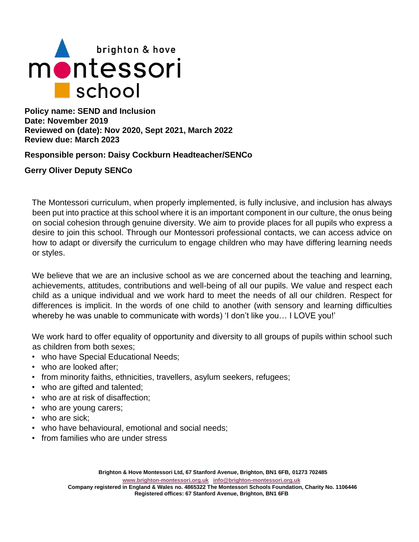

**Policy name: SEND and Inclusion Date: November 2019 Reviewed on (date): Nov 2020, Sept 2021, March 2022 Review due: March 2023**

**Responsible person: Daisy Cockburn Headteacher/SENCo**

# **Gerry Oliver Deputy SENCo**

The Montessori curriculum, when properly implemented, is fully inclusive, and inclusion has always been put into practice at this school where it is an important component in our culture, the onus being on social cohesion through genuine diversity. We aim to provide places for all pupils who express a desire to join this school. Through our Montessori professional contacts, we can access advice on how to adapt or diversify the curriculum to engage children who may have differing learning needs or styles.

We believe that we are an inclusive school as we are concerned about the teaching and learning, achievements, attitudes, contributions and well-being of all our pupils. We value and respect each child as a unique individual and we work hard to meet the needs of all our children. Respect for differences is implicit. In the words of one child to another (with sensory and learning difficulties whereby he was unable to communicate with words) 'I don't like you… I LOVE you!'

We work hard to offer equality of opportunity and diversity to all groups of pupils within school such as children from both sexes;

- who have Special Educational Needs;
- who are looked after;
- from minority faiths, ethnicities, travellers, asylum seekers, refugees;
- who are gifted and talented;
- who are at risk of disaffection;
- who are young carers;
- who are sick;
- who have behavioural, emotional and social needs;
- from families who are under stress

**[www.brighton-montessori.org.uk](http://www.brighton-montessori.org.uk/) [info@brighton-montessori.org.uk](mailto:info@brighton-montessori.org.uk)**

**Company registered in England & Wales no. 4865322 The Montessori Schools Foundation, Charity No. 1106446 Registered offices: 67 Stanford Avenue, Brighton, BN1 6FB**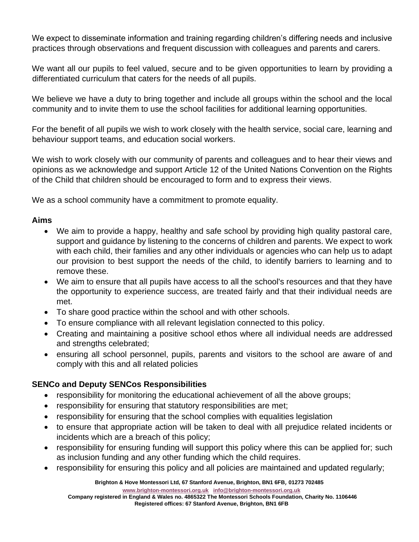We expect to disseminate information and training regarding children's differing needs and inclusive practices through observations and frequent discussion with colleagues and parents and carers.

We want all our pupils to feel valued, secure and to be given opportunities to learn by providing a differentiated curriculum that caters for the needs of all pupils.

We believe we have a duty to bring together and include all groups within the school and the local community and to invite them to use the school facilities for additional learning opportunities.

For the benefit of all pupils we wish to work closely with the health service, social care, learning and behaviour support teams, and education social workers.

We wish to work closely with our community of parents and colleagues and to hear their views and opinions as we acknowledge and support Article 12 of the United Nations Convention on the Rights of the Child that children should be encouraged to form and to express their views.

We as a school community have a commitment to promote equality.

# **Aims**

- We aim to provide a happy, healthy and safe school by providing high quality pastoral care, support and guidance by listening to the concerns of children and parents. We expect to work with each child, their families and any other individuals or agencies who can help us to adapt our provision to best support the needs of the child, to identify barriers to learning and to remove these.
- We aim to ensure that all pupils have access to all the school's resources and that they have the opportunity to experience success, are treated fairly and that their individual needs are met.
- To share good practice within the school and with other schools.
- To ensure compliance with all relevant legislation connected to this policy.
- Creating and maintaining a positive school ethos where all individual needs are addressed and strengths celebrated;
- ensuring all school personnel, pupils, parents and visitors to the school are aware of and comply with this and all related policies

### **SENCo and Deputy SENCos Responsibilities**

- responsibility for monitoring the educational achievement of all the above groups;
- responsibility for ensuring that statutory responsibilities are met;
- responsibility for ensuring that the school complies with equalities legislation
- to ensure that appropriate action will be taken to deal with all prejudice related incidents or incidents which are a breach of this policy;
- responsibility for ensuring funding will support this policy where this can be applied for; such as inclusion funding and any other funding which the child requires.
- responsibility for ensuring this policy and all policies are maintained and updated regularly;

**Brighton & Hove Montessori Ltd, 67 Stanford Avenue, Brighton, BN1 6FB**, **01273 702485**

**[www.brighton-montessori.org.uk](http://www.brighton-montessori.org.uk/) [info@brighton-montessori.org.uk](mailto:info@brighton-montessori.org.uk)**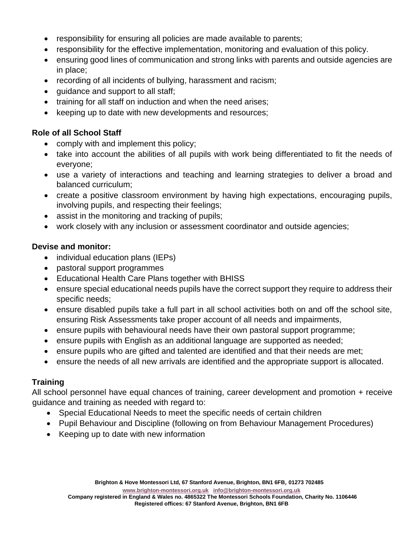- responsibility for ensuring all policies are made available to parents;
- responsibility for the effective implementation, monitoring and evaluation of this policy.
- ensuring good lines of communication and strong links with parents and outside agencies are in place;
- recording of all incidents of bullying, harassment and racism;
- guidance and support to all staff;
- training for all staff on induction and when the need arises;
- keeping up to date with new developments and resources;

# **Role of all School Staff**

- comply with and implement this policy;
- take into account the abilities of all pupils with work being differentiated to fit the needs of everyone;
- use a variety of interactions and teaching and learning strategies to deliver a broad and balanced curriculum;
- create a positive classroom environment by having high expectations, encouraging pupils, involving pupils, and respecting their feelings;
- assist in the monitoring and tracking of pupils;
- work closely with any inclusion or assessment coordinator and outside agencies;

### **Devise and monitor:**

- individual education plans (IEPs)
- pastoral support programmes
- Educational Health Care Plans together with BHISS
- ensure special educational needs pupils have the correct support they require to address their specific needs;
- ensure disabled pupils take a full part in all school activities both on and off the school site, ensuring Risk Assessments take proper account of all needs and impairments,
- ensure pupils with behavioural needs have their own pastoral support programme;
- ensure pupils with English as an additional language are supported as needed;
- ensure pupils who are gifted and talented are identified and that their needs are met;
- ensure the needs of all new arrivals are identified and the appropriate support is allocated.

# **Training**

All school personnel have equal chances of training, career development and promotion + receive guidance and training as needed with regard to:

- Special Educational Needs to meet the specific needs of certain children
- Pupil Behaviour and Discipline (following on from Behaviour Management Procedures)
- Keeping up to date with new information